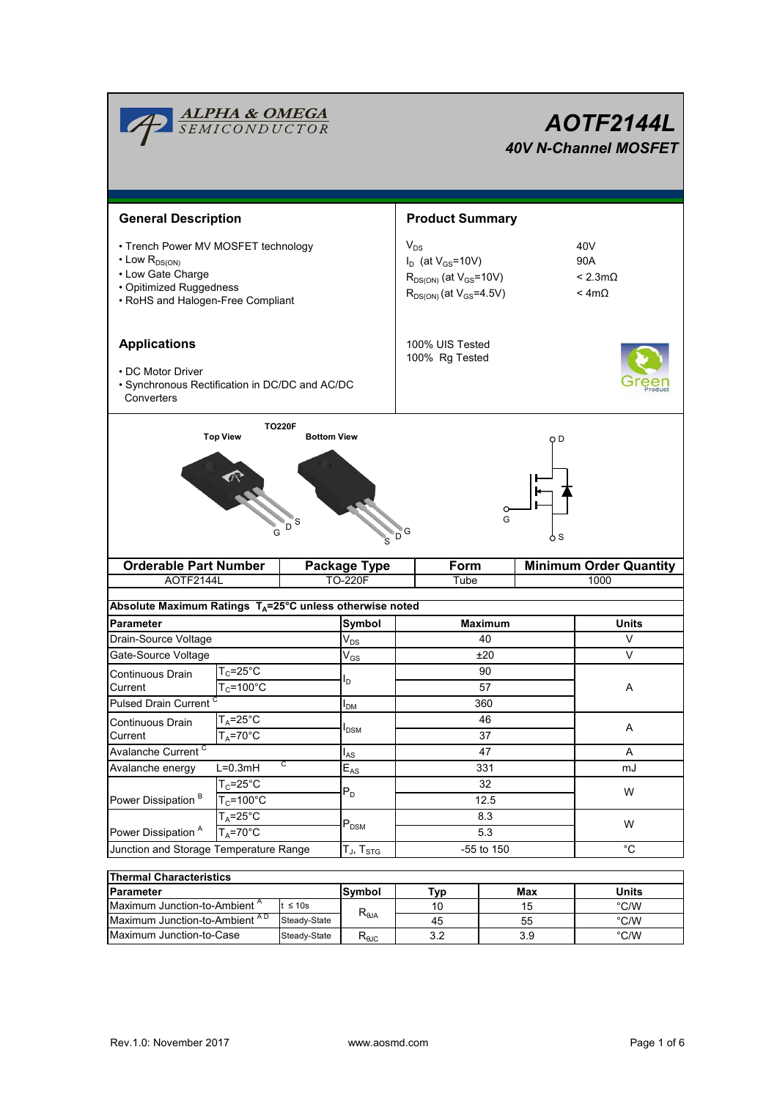| <b>ALPHA &amp; OMEGA</b><br>SEMICONDUCTOR                                                                                                            |                                                             |           |                             | AOTF2144L<br><b>40V N-Channel MOSFET</b>                                                                    |                |                               |                                                  |  |
|------------------------------------------------------------------------------------------------------------------------------------------------------|-------------------------------------------------------------|-----------|-----------------------------|-------------------------------------------------------------------------------------------------------------|----------------|-------------------------------|--------------------------------------------------|--|
| <b>General Description</b>                                                                                                                           |                                                             |           |                             | <b>Product Summary</b>                                                                                      |                |                               |                                                  |  |
| • Trench Power MV MOSFET technology<br>$\cdot$ Low $R_{DS(ON)}$<br>• Low Gate Charge<br>• Opitimized Ruggedness<br>• RoHS and Halogen-Free Compliant |                                                             |           |                             | $V_{DS}$<br>$I_D$ (at $V_{GS}$ =10V)<br>$R_{DS(ON)}$ (at $V_{GS}$ =10V)<br>$R_{DS(ON)}$ (at $V_{GS}$ =4.5V) |                |                               | 40V<br>90A<br>$< 2.3$ m $\Omega$<br>$< 4m\Omega$ |  |
| <b>Applications</b><br>• DC Motor Driver<br>· Synchronous Rectification in DC/DC and AC/DC<br>Converters                                             |                                                             |           |                             | 100% UIS Tested<br>100% Rg Tested                                                                           |                |                               |                                                  |  |
| <b>Top View</b><br><b>Bottom View</b><br>S<br>.<br>D                                                                                                 |                                                             |           |                             | D,                                                                                                          | Ω<br>G         | <b>S</b>                      |                                                  |  |
|                                                                                                                                                      | <b>Orderable Part Number</b>                                |           | <b>Package Type</b>         | Form                                                                                                        |                | <b>Minimum Order Quantity</b> |                                                  |  |
| AOTF2144L                                                                                                                                            |                                                             |           | <b>TO-220F</b><br>Tube      |                                                                                                             |                | 1000                          |                                                  |  |
| Absolute Maximum Ratings T <sub>A</sub> =25°C unless otherwise noted                                                                                 |                                                             |           |                             |                                                                                                             |                |                               |                                                  |  |
| <b>Parameter</b>                                                                                                                                     |                                                             |           | Symbol                      |                                                                                                             | <b>Maximum</b> |                               | <b>Units</b>                                     |  |
| Drain-Source Voltage                                                                                                                                 |                                                             |           | $\mathsf{V}_{\mathsf{DS}}$  | 40                                                                                                          |                |                               | V                                                |  |
| Gate-Source Voltage                                                                                                                                  |                                                             |           | $\mathsf{V}_{\mathsf{GS}}$  | ±20                                                                                                         |                |                               | $\vee$                                           |  |
| Continuous Drain                                                                                                                                     | ${\mathsf T}_{\rm C}$ =25°C                                 |           | l <sub>D</sub>              | 90                                                                                                          |                |                               |                                                  |  |
| Current                                                                                                                                              | $T_c = 100^{\circ}$ C                                       |           |                             |                                                                                                             | 57             | Α                             |                                                  |  |
| Pulsed Drain Current                                                                                                                                 |                                                             |           | <b>I</b> <sub>DM</sub>      | 360                                                                                                         |                |                               |                                                  |  |
| Continuous Drain                                                                                                                                     | $T_A = 25$ °C                                               |           | $I_{DSM}$                   | 46                                                                                                          |                |                               | A                                                |  |
| $T_A = 70^\circ C$<br>Current<br>Avalanche Current <sup>C</sup>                                                                                      |                                                             |           | 37                          |                                                                                                             | Α              |                               |                                                  |  |
| C<br>Avalanche energy<br>$L=0.3mH$                                                                                                                   |                                                             |           | l <sub>AS</sub><br>$E_{AS}$ | 47<br>331                                                                                                   |                |                               | mJ                                               |  |
|                                                                                                                                                      | $T_c = 25$ °C<br>$T_c = 100^{\circ}C$<br>$T_A = 25^\circ C$ |           |                             | 32<br>12.5<br>8.3                                                                                           |                |                               |                                                  |  |
| Power Dissipation <sup>B</sup>                                                                                                                       |                                                             |           | $P_D$                       |                                                                                                             |                | W                             |                                                  |  |
|                                                                                                                                                      |                                                             |           |                             |                                                                                                             |                | W                             |                                                  |  |
| Power Dissipation <sup>A</sup><br>$T_A = 70^\circ C$                                                                                                 |                                                             | $P_{DSM}$ | 5.3                         |                                                                                                             |                |                               |                                                  |  |
| Junction and Storage Temperature Range                                                                                                               |                                                             |           | $T_J$ , $T_{STG}$           | -55 to 150                                                                                                  |                |                               | °C                                               |  |
|                                                                                                                                                      |                                                             |           |                             |                                                                                                             |                |                               |                                                  |  |
| <b>Thermal Characteristics</b><br><b>Parameter</b>                                                                                                   |                                                             |           | Symbol                      | Tyn                                                                                                         | Max            |                               | <b>Ilnits</b>                                    |  |

| Thermal Characteristics                  |               |                |     |       |               |  |  |
|------------------------------------------|---------------|----------------|-----|-------|---------------|--|--|
| Parameter                                | <b>Svmbol</b> | Typ            | Max | Units |               |  |  |
| Maximum Junction-to-Ambient <sup>A</sup> | $t \leq 10s$  |                | 10  | 15    | °C/W          |  |  |
| Maximum Junction-to-Ambient AD           | Steady-State  | $R_{\theta$ JA | 45  | 55    | °C/W          |  |  |
| Maximum Junction-to-Case                 | Steady-State  | $R_{0,IC}$     | 3.2 | 3.9   | $\degree$ C/W |  |  |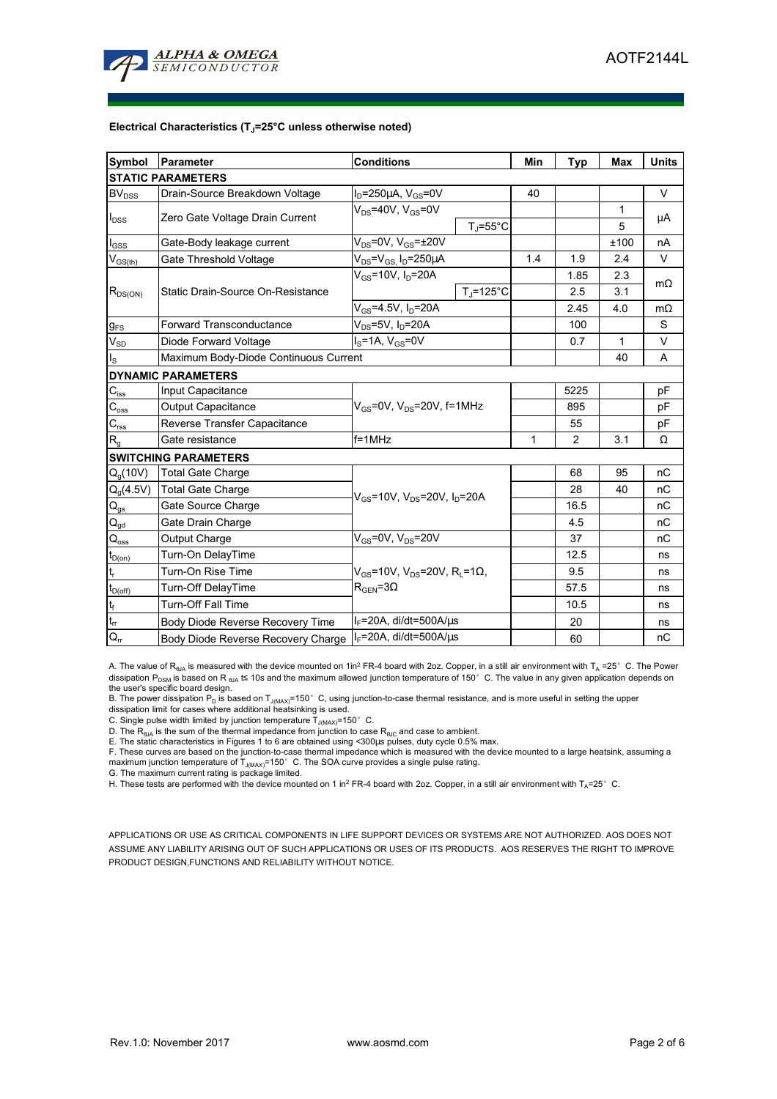

#### **Electrical Characteristics (TJ=25°C unless otherwise noted)**

| Symbol                                  | Parameter                             | <b>Conditions</b>                                                                             | Min                  | Typ            | <b>Max</b> | <b>Units</b> |           |
|-----------------------------------------|---------------------------------------|-----------------------------------------------------------------------------------------------|----------------------|----------------|------------|--------------|-----------|
|                                         | <b>STATIC PARAMETERS</b>              |                                                                                               |                      |                |            |              |           |
| <b>BV</b> <sub>DSS</sub>                | Drain-Source Breakdown Voltage        | $I_D = 250 \mu A$ , $V_{GS} = 0V$                                                             |                      | 40             |            |              | V         |
| $I_{DSS}$                               |                                       | $V_{DS}$ =40V, $V_{GS}$ =0V                                                                   |                      |                |            | 1            |           |
|                                         | Zero Gate Voltage Drain Current       |                                                                                               | $T_{\rm J}$ =55°C    |                |            | 5            | μA        |
| $I_{GSS}$                               | Gate-Body leakage current             | $V_{DS}$ =0V, $V_{GS}$ =±20V                                                                  |                      |                |            | ±100         | nA        |
| $\mathsf{V}_{\mathsf{GS}(\mathsf{th})}$ | Gate Threshold Voltage                | $V_{DS} = V_{GS}$ , $I_D = 250 \mu A$                                                         |                      | 1.4            | 1.9        | 2.4          | V         |
| $R_{DS(ON)}$                            | Static Drain-Source On-Resistance     | V <sub>GS</sub> =10V, I <sub>D</sub> =20A                                                     |                      |                | 1.85       | 2.3          | $m\Omega$ |
|                                         |                                       |                                                                                               | $T_i = 125^{\circ}C$ |                | 2.5        | 3.1          |           |
|                                         |                                       | $V_{GS}$ =4.5V, $I_D$ =20A                                                                    |                      |                | 2.45       | 4.0          | $m\Omega$ |
| $g_{FS}$                                | <b>Forward Transconductance</b>       | $V_{DS}$ =5V, I <sub>D</sub> =20A                                                             |                      |                | 100        |              | S         |
| $V_{SD}$                                | Diode Forward Voltage                 | $IS=1A, VGS=0V$                                                                               |                      | 0.7            | 1          | V            |           |
| $I_{\rm S}$                             | Maximum Body-Diode Continuous Current |                                                                                               |                      |                |            | 40           | A         |
|                                         | <b>DYNAMIC PARAMETERS</b>             |                                                                                               |                      |                |            |              |           |
| $C_{\text{iss}}$                        | Input Capacitance                     |                                                                                               |                      | 5225           |            | рF           |           |
| $C_{\underline{\text{oss}}}$            | <b>Output Capacitance</b>             | $V_{GS}$ =0V, $V_{DS}$ =20V, f=1MHz                                                           |                      |                | 895        |              | рF        |
| $C_{\text{rss}}$                        | Reverse Transfer Capacitance          |                                                                                               |                      | 55             |            | рF           |           |
| $R_{g}$                                 | Gate resistance                       | $f = 1$ MHz                                                                                   | $\mathbf{1}$         | $\overline{2}$ | 3.1        | Ω            |           |
|                                         | <b>SWITCHING PARAMETERS</b>           |                                                                                               |                      |                |            |              |           |
| $Q_q(10V)$                              | <b>Total Gate Charge</b>              | $V_{GS}$ =10V, $V_{DS}$ =20V, $I_D$ =20A                                                      |                      |                | 68         | 95           | nC        |
| $Q_g(4.5V)$                             | <b>Total Gate Charge</b>              |                                                                                               |                      |                | 28         | 40           | nC        |
| $\mathbf{Q}_\text{gs}$                  | Gate Source Charge                    |                                                                                               |                      |                | 16.5       |              | nC        |
| $Q_{gd}$                                | Gate Drain Charge                     |                                                                                               |                      |                | 4.5        |              | nC        |
| $\mathsf{Q}_{\text{oss}}$               | Output Charge                         | $V_{GS}$ =0V, $V_{DS}$ =20V                                                                   |                      |                | 37         |              | nC        |
| $t_{D(0n)}$                             | Turn-On DelayTime                     |                                                                                               |                      |                | 12.5       |              | ns        |
| $\mathsf{t}_{\mathsf{r}}$               | Turn-On Rise Time                     | $V_{\text{GS}}$ =10V, $V_{\text{DS}}$ =20V, R <sub>i</sub> =1Ω,<br>$R_{\text{GEN}} = 3\Omega$ |                      |                | 9.5        |              | ns        |
| $t_{D(off)}$                            | <b>Turn-Off DelayTime</b>             |                                                                                               |                      |                | 57.5       |              | ns        |
| $\mathbf{t}_\text{f}$                   | Turn-Off Fall Time                    |                                                                                               |                      |                | 10.5       |              | ns        |
| $t_{rr}$                                | Body Diode Reverse Recovery Time      | $I_F$ =20A, di/dt=500A/ $\mu$ s                                                               |                      |                | 20         |              | ns        |
| $Q_{rr}$                                | Body Diode Reverse Recovery Charge    | $I_F$ =20A, di/dt=500A/ $\mu$ s                                                               |                      |                | 60         |              | nC        |

A. The value of R<sub>BJA</sub> is measured with the device mounted on 1in<sup>2</sup> FR-4 board with 2oz. Copper, in a still air environment with T<sub>A</sub> =25° C. The Power dissipation P<sub>DSM</sub> is based on R <sub>θJA</sub> t≤ 10s and the maximum allowed junction temperature of 150°C. The value in any given application depends on the user's specific board design.

B. The power dissipation P<sub>D</sub> is based on T<sub>J(MAX)</sub>=150°C, using junction-to-case thermal resistance, and is more useful in setting the upper dissipation limit for cases where additional heatsinking is used.

C. Single pulse width limited by junction temperature  $\tilde{T}_{J(MAX)}$ =150°C.

D. The  $R_{\theta JA}$  is the sum of the thermal impedance from junction to case  $R_{\theta JC}$  and case to ambient.

E. The static characteristics in Figures 1 to 6 are obtained using <300µs pulses, duty cycle 0.5% max.<br>F. These curves are based on the junction-to-case thermal impedance which is measured with the device mounted to a lar

maximum junction temperature of T<sub>J(MAX)</sub>=150°C. The SOA curve provides a single pulse rating.

G. The maximum current rating is package limited.

H. These tests are performed with the device mounted on 1 in<sup>2</sup> FR-4 board with 2oz. Copper, in a still air environment with T<sub>A</sub>=25°C.

APPLICATIONS OR USE AS CRITICAL COMPONENTS IN LIFE SUPPORT DEVICES OR SYSTEMS ARE NOT AUTHORIZED. AOS DOES NOT ASSUME ANY LIABILITY ARISING OUT OF SUCH APPLICATIONS OR USES OF ITS PRODUCTS. AOS RESERVES THE RIGHT TO IMPROVE PRODUCT DESIGN,FUNCTIONS AND RELIABILITY WITHOUT NOTICE.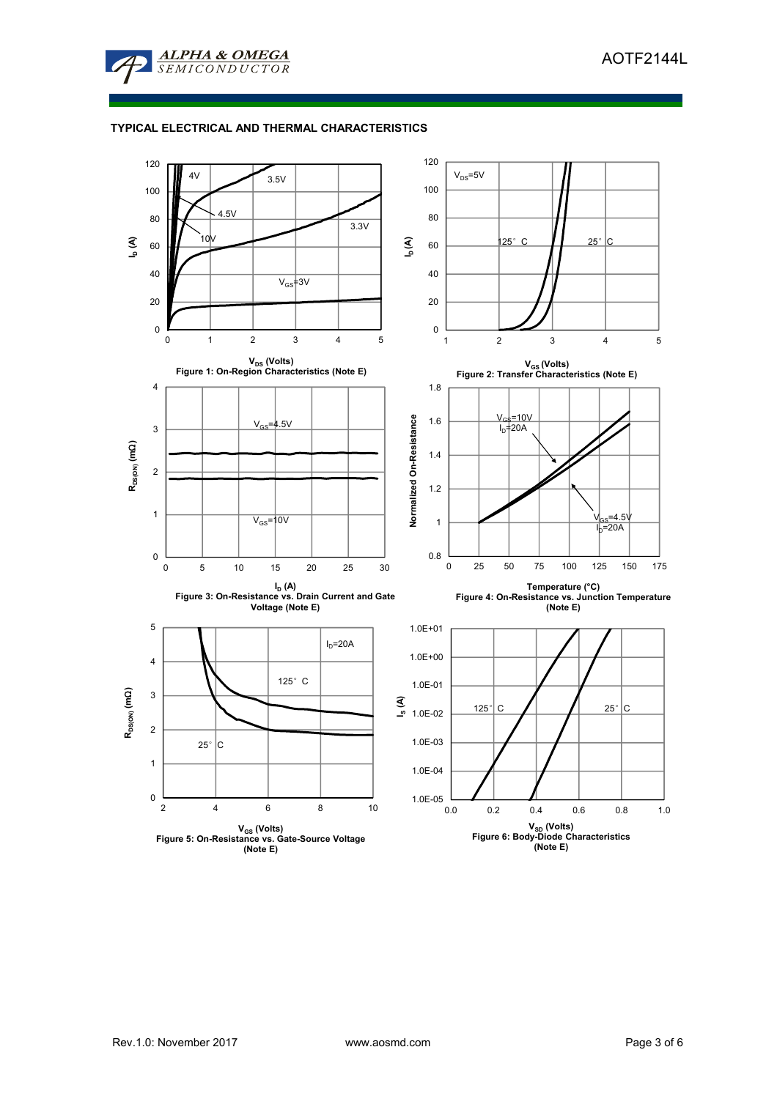

# **TYPICAL ELECTRICAL AND THERMAL CHARACTERISTICS**

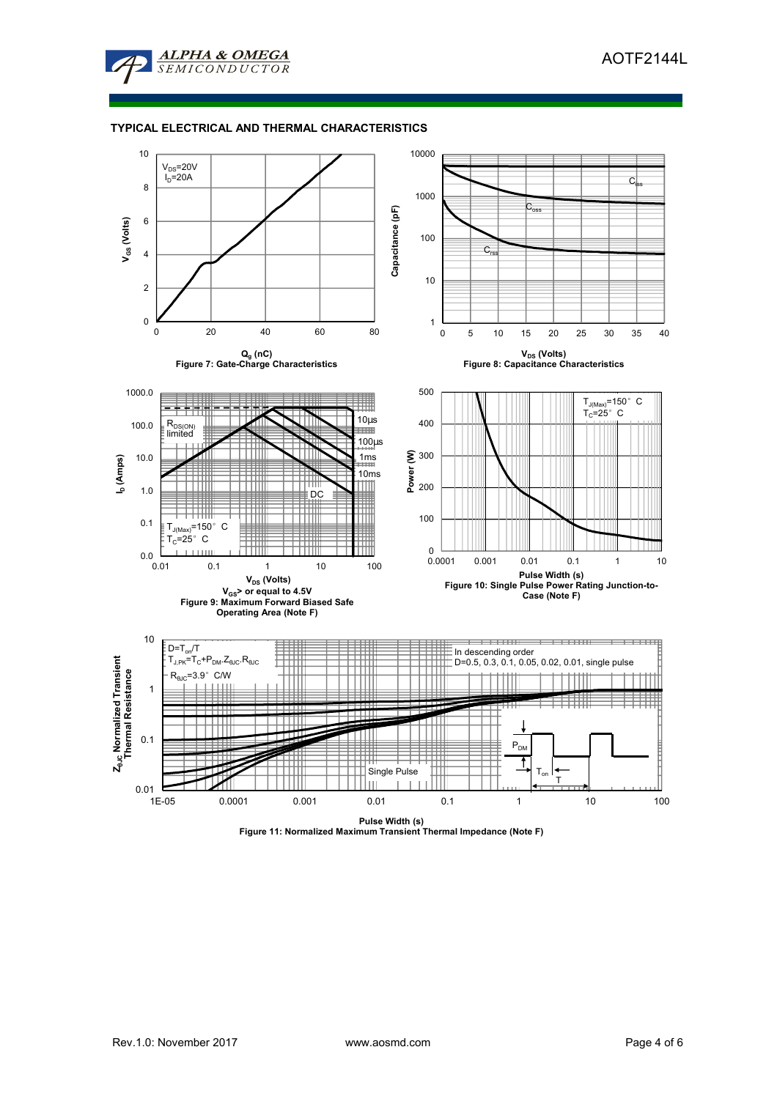

## **TYPICAL ELECTRICAL AND THERMAL CHARACTERISTICS**



**Pulse Width (s) Figure 11: Normalized Maximum Transient Thermal Impedance (Note F)**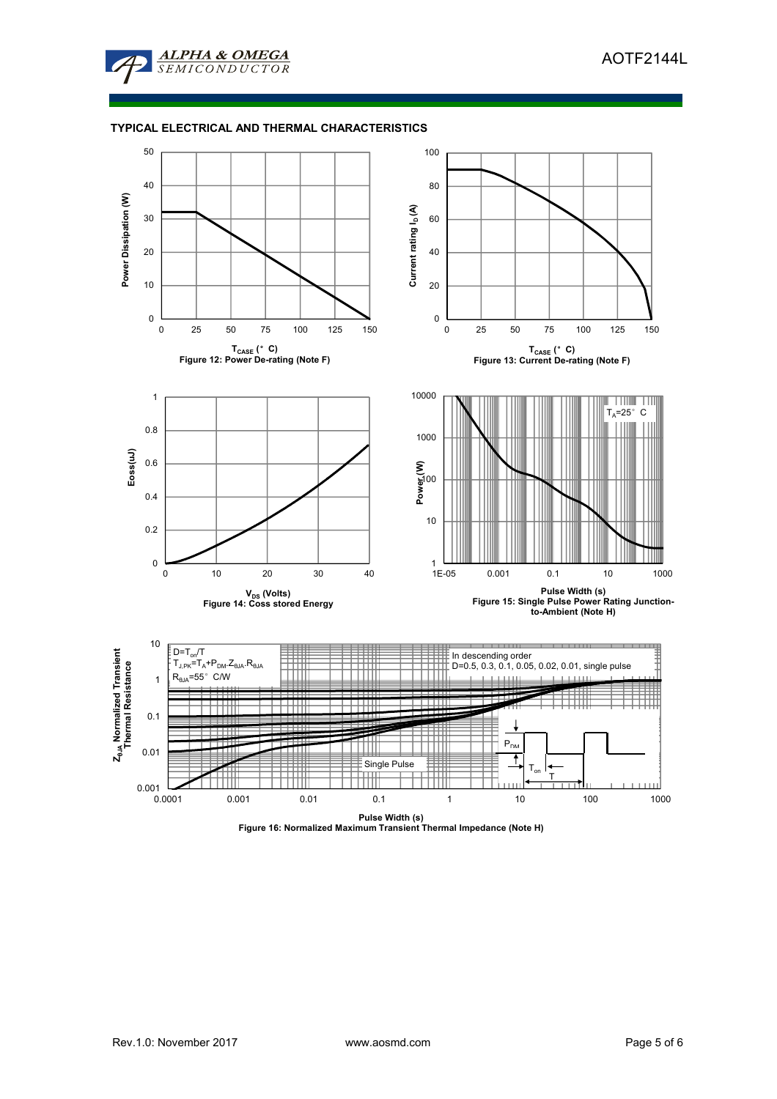

# **TYPICAL ELECTRICAL AND THERMAL CHARACTERISTICS**